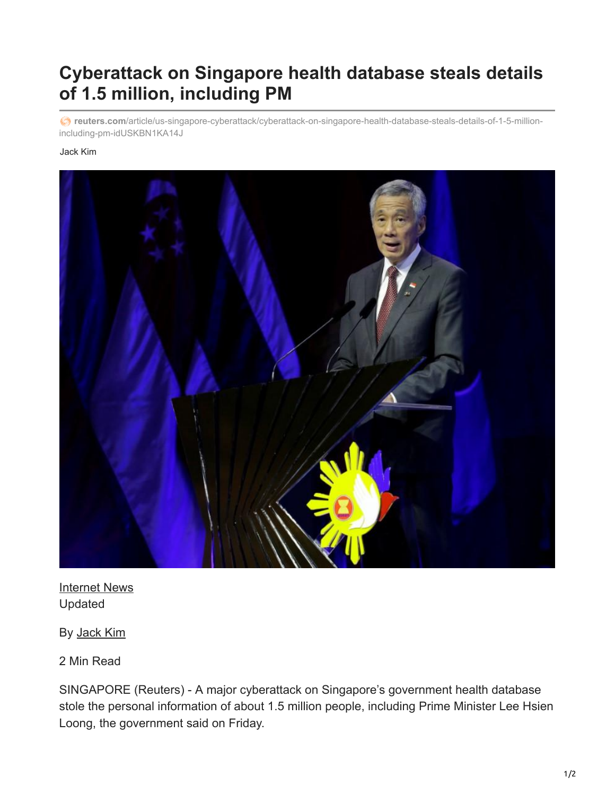## **Cyberattack on Singapore health database steals details of 1.5 million, including PM**

**reuters.com**[/article/us-singapore-cyberattack/cyberattack-on-singapore-health-database-steals-details-of-1-5-million](https://www.reuters.com/article/us-singapore-cyberattack/cyberattack-on-singapore-health-database-steals-details-of-1-5-million-including-pm-idUSKBN1KA14J)including-pm-idUSKBN1KA14J

## Jack Kim



[Internet News](https://www.reuters.com/news/archive/internetNews) Updated

By [Jack Kim](https://www.reuters.com/journalists/jack-kim)

2 Min Read

SINGAPORE (Reuters) - A major cyberattack on Singapore's government health database stole the personal information of about 1.5 million people, including Prime Minister Lee Hsien Loong, the government said on Friday.